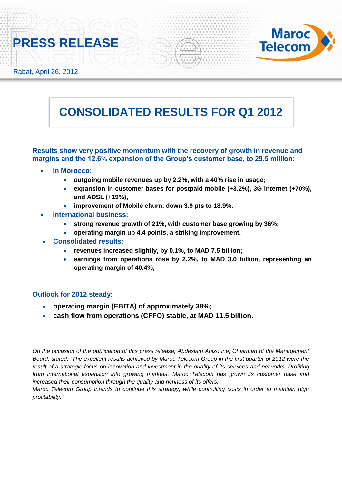



Rabat, April 26, 2012

# **CONSOLIDATED RESULTS FOR Q1 2012**

**Results show very positive momentum with the recovery of growth in revenue and margins and the 12.6% expansion of the Group's customer base, to 29.5 million:**

- **In Morocco:**
	- **outgoing mobile revenues up by 2.2%, with a 40% rise in usage;**
	- **expansion in customer bases for postpaid mobile (+3.2%), 3G internet (+70%), and ADSL (+19%),**
	- **improvement of Mobile churn, down 3.9 pts to 18.9%.**
- **International business:** 
	- **strong revenue growth of 21%, with customer base growing by 36%;**
	- **operating margin up 4.4 points, a striking improvement.**
- **Consolidated results:**
	- **revenues increased slightly, by 0.1%, to MAD 7.5 billion;**
	- **earnings from operations rose by 2.2%, to MAD 3.0 billion, representing an operating margin of 40.4%;**

# **Outlook for 2012 steady:**

- **operating margin (EBITA) of approximately 38%;**
- **cash flow from operations (CFFO) stable, at MAD 11.5 billion.**

*On the occasion of the publication of this press release, Abdeslam Ahizoune, Chairman of the Management Board, stated: "The excellent results achieved by Maroc Telecom Group in the first quarter of 2012 were the result of a strategic focus on innovation and investment in the quality of its services and networks. Profiting from international expansion into growing markets, Maroc Telecom has grown its customer base and increased their consumption through the quality and richness of its offers.*

*Maroc Telecom Group intends to continue this strategy, while controlling costs in order to maintain high profitability."*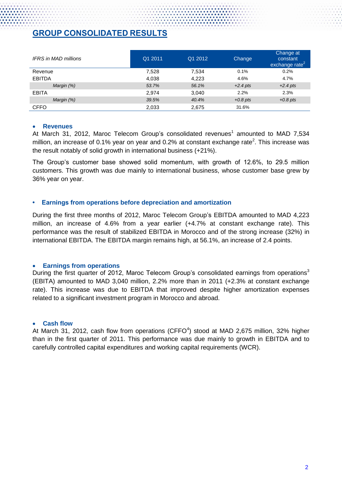# **GROUP CONSOLIDATED RESULTS**

| <b>IFRS</b> in MAD millions | Q1 2011 | Q1 2012 | Change     | Change at<br>constant<br>exchange rate <sup><math>\epsilon</math></sup> |
|-----------------------------|---------|---------|------------|-------------------------------------------------------------------------|
| Revenue                     | 7,528   | 7,534   | 0.1%       | 0.2%                                                                    |
| <b>EBITDA</b>               | 4,038   | 4,223   | 4.6%       | 4.7%                                                                    |
| Margin (%)                  | 53.7%   | 56.1%   | $+2.4$ pts | $+2.4$ pts                                                              |
| <b>EBITA</b>                | 2.974   | 3.040   | 2.2%       | 2.3%                                                                    |
| Margin (%)                  | 39.5%   | 40.4%   | $+0.8$ pts | $+0.8$ pts                                                              |
| <b>CFFO</b>                 | 2,033   | 2,675   | 31.6%      |                                                                         |

## **Revenues**

At March 31, 2012, Maroc Telecom Group's consolidated revenues<sup>1</sup> amounted to MAD 7,534 million, an increase of 0.1% year on year and 0.2% at constant exchange rate<sup>2</sup>. This increase was the result notably of solid growth in international business (+21%).

The Group's customer base showed solid momentum, with growth of 12.6%, to 29.5 million customers. This growth was due mainly to international business, whose customer base grew by 36% year on year.

# **• Earnings from operations before depreciation and amortization**

During the first three months of 2012, Maroc Telecom Group's EBITDA amounted to MAD 4,223 million, an increase of 4.6% from a year earlier (+4.7% at constant exchange rate). This performance was the result of stabilized EBITDA in Morocco and of the strong increase (32%) in international EBITDA. The EBITDA margin remains high, at 56.1%, an increase of 2.4 points.

# **Earnings from operations**

During the first quarter of 2012, Maroc Telecom Group's consolidated earnings from operations<sup>3</sup> (EBITA) amounted to MAD 3,040 million, 2.2% more than in 2011 (+2.3% at constant exchange rate). This increase was due to EBITDA that improved despite higher amortization expenses related to a significant investment program in Morocco and abroad.

# **Cash flow**

At March 31, 2012, cash flow from operations (CFFO $4$ ) stood at MAD 2,675 million, 32% higher than in the first quarter of 2011. This performance was due mainly to growth in EBITDA and to carefully controlled capital expenditures and working capital requirements (WCR).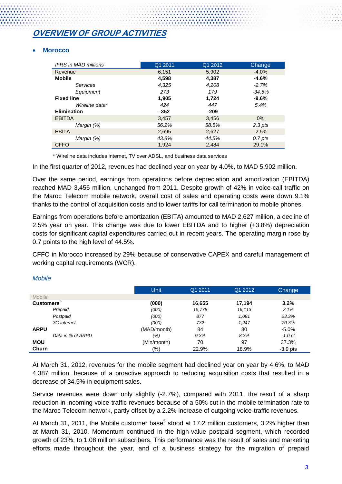# **OVERVIEW OF GROUP ACTIVITIES**

# **Morocco**

| <b>IFRS</b> in MAD millions | Q1 2011 | Q1 2012 | <b>Change</b>       |
|-----------------------------|---------|---------|---------------------|
| Revenue                     | 6,151   | 5,902   | $-4.0%$             |
| <b>Mobile</b>               | 4,598   | 4,387   | $-4.6%$             |
| Services                    | 4,325   | 4,208   | $-2.7%$             |
| Equipment                   | 273     | 179     | $-34.5%$            |
| <b>Fixed line</b>           | 1,905   | 1,724   | $-9.6%$             |
| Wireline data*              | 424     | 447     | 5.4%                |
| <b>Elimination</b>          | $-352$  | $-209$  |                     |
| <b>EBITDA</b>               | 3,457   | 3,456   | $0\%$               |
| Margin (%)                  | 56.2%   | 58.5%   | $2.3 \, \text{pts}$ |
| <b>EBITA</b>                | 2,695   | 2,627   | $-2.5%$             |
| Margin (%)                  | 43.8%   | 44.5%   | $0.7$ pts           |
| <b>CFFO</b>                 | 1.924   | 2.484   | 29.1%               |

\* Wireline data includes internet, TV over ADSL, and business data services

In the first quarter of 2012, revenues had declined year on year by 4.0%, to MAD 5,902 million.

Over the same period, earnings from operations before depreciation and amortization (EBITDA) reached MAD 3,456 million, unchanged from 2011. Despite growth of 42% in voice-call traffic on the Maroc Telecom mobile network, overall cost of sales and operating costs were down 9.1% thanks to the control of acquisition costs and to lower tariffs for call termination to mobile phones.

Earnings from operations before amortization (EBITA) amounted to MAD 2,627 million, a decline of 2.5% year on year. This change was due to lower EBITDA and to higher (+3.8%) depreciation costs for significant capital expenditures carried out in recent years. The operating margin rose by 0.7 points to the high level of 44.5%.

CFFO in Morocco increased by 29% because of conservative CAPEX and careful management of working capital requirements (WCR).

|                               | <b>Unit</b> | Q1 2011 | Q1 2012 | Change     |
|-------------------------------|-------------|---------|---------|------------|
| <b>Mobile</b>                 |             |         |         |            |
| <b>Customers</b> <sup>5</sup> | (000)       | 16,655  | 17,194  | 3.2%       |
| Prepaid                       | (000)       | 15,778  | 16,113  | 2.1%       |
| Postpaid                      | (000)       | 877     | 1,081   | 23.3%      |
| 3G internet                   | (000)       | 732     | 1.247   | 70.3%      |
| <b>ARPU</b>                   | (MAD/month) | 84      | 80      | $-5.0%$    |
| Data in % of ARPU             | (%)         | 9.3%    | 8.3%    | $-1.0$ pt  |
| <b>MOU</b>                    | (Min/month) | 70      | 97      | 37.3%      |
| Churn                         | (%)         | 22.9%   | 18.9%   | $-3.9$ pts |

#### *Mobile*

At March 31, 2012, revenues for the mobile segment had declined year on year by 4.6%, to MAD 4,387 million, because of a proactive approach to reducing acquisition costs that resulted in a decrease of 34.5% in equipment sales.

Service revenues were down only slightly (-2.7%), compared with 2011, the result of a sharp reduction in incoming voice-traffic revenues because of a 50% cut in the mobile termination rate to the Maroc Telecom network, partly offset by a 2.2% increase of outgoing voice-traffic revenues.

At March 31, 2011, the Mobile customer base<sup>5</sup> stood at 17.2 million customers, 3.2% higher than at March 31, 2010. Momentum continued in the high-value postpaid segment, which recorded growth of 23%, to 1.08 million subscribers. This performance was the result of sales and marketing efforts made throughout the year, and of a business strategy for the migration of prepaid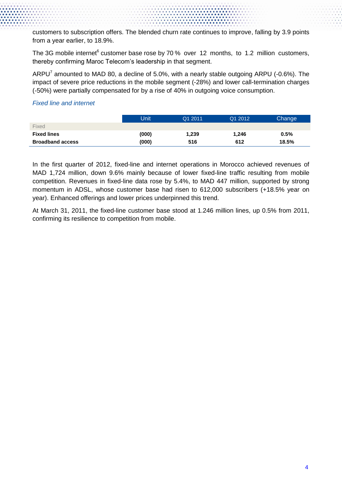customers to subscription offers. The blended churn rate continues to improve, falling by 3.9 points from a year earlier, to 18.9%.

The 3G mobile internet<sup>6</sup> customer base rose by 70 % over 12 months, to 1.2 million customers, thereby confirming Maroc Telecom's leadership in that segment.

ARPU<sup>7</sup> amounted to MAD 80, a decline of 5.0%, with a nearly stable outgoing ARPU (-0.6%). The impact of severe price reductions in the mobile segment (-28%) and lower call-termination charges (-50%) were partially compensated for by a rise of 40% in outgoing voice consumption.

# *Fixed line and internet*

|                         | Unit  | Q1 2011 | Q1 2012 | Change |
|-------------------------|-------|---------|---------|--------|
| Fixed                   |       |         |         |        |
| <b>Fixed lines</b>      | (000) | 1,239   | 1,246   | 0.5%   |
| <b>Broadband access</b> | (000) | 516     | 612     | 18.5%  |

In the first quarter of 2012, fixed-line and internet operations in Morocco achieved revenues of MAD 1,724 million, down 9.6% mainly because of lower fixed-line traffic resulting from mobile competition. Revenues in fixed-line data rose by 5.4%, to MAD 447 million, supported by strong momentum in ADSL, whose customer base had risen to 612,000 subscribers (+18.5% year on year). Enhanced offerings and lower prices underpinned this trend.

At March 31, 2011, the fixed-line customer base stood at 1.246 million lines, up 0.5% from 2011, confirming its resilience to competition from mobile.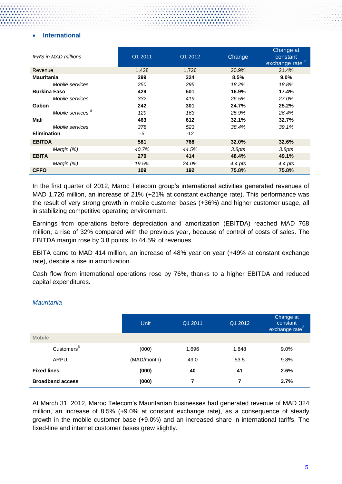# **International**

| <b>IFRS</b> in MAD millions  | Q1 2011 | Q1 2012 | Change  | Change at<br>constant<br>exchange rate <sup>2</sup> |
|------------------------------|---------|---------|---------|-----------------------------------------------------|
| Revenue                      | 1,428   | 1,726   | 20.9%   | 21.4%                                               |
| <b>Mauritania</b>            | 299     | 324     | 8.5%    | 9.0%                                                |
| Mobile services              | 250     | 295     | 18.2%   | 18.8%                                               |
| <b>Burkina Faso</b>          | 429     | 501     | 16.9%   | 17.4%                                               |
| Mobile services              | 332     | 419     | 26.5%   | 27.0%                                               |
| Gabon                        | 242     | 301     | 24.7%   | 25.2%                                               |
| Mobile services <sup>8</sup> | 129     | 163     | 25.9%   | 26.4%                                               |
| Mali                         | 463     | 612     | 32.1%   | 32.7%                                               |
| Mobile services              | 378     | 523     | 38.4%   | 39.1%                                               |
| <b>Elimination</b>           | -5      | $-12$   |         |                                                     |
| <b>EBITDA</b>                | 581     | 768     | 32.0%   | 32.6%                                               |
| Margin (%)                   | 40.7%   | 44.5%   | 3.8pts  | 3.8pts                                              |
| <b>EBITA</b>                 | 279     | 414     | 48.4%   | 49.1%                                               |
| Margin (%)                   | 19.5%   | 24.0%   | 4.4 pts | 4.4 pts                                             |
| <b>CFFO</b>                  | 109     | 192     | 75.8%   | 75.8%                                               |

In the first quarter of 2012, Maroc Telecom group's international activities generated revenues of MAD 1,726 million, an increase of 21% (+21% at constant exchange rate). This performance was the result of very strong growth in mobile customer bases (+36%) and higher customer usage, all in stabilizing competitive operating environment.

Earnings from operations before depreciation and amortization (EBITDA) reached MAD 768 million, a rise of 32% compared with the previous year, because of control of costs of sales. The EBITDA margin rose by 3.8 points, to 44.5% of revenues.

EBITA came to MAD 414 million, an increase of 48% year on year (+49% at constant exchange rate), despite a rise in amortization.

Cash flow from international operations rose by 76%, thanks to a higher EBITDA and reduced capital expenditures.

|                         | Unit        | Q1 2011 | Q1 2012 | Change at<br>constant<br>exchange rate <sup>2</sup> |
|-------------------------|-------------|---------|---------|-----------------------------------------------------|
| <b>Mobile</b>           |             |         |         |                                                     |
| Customers <sup>5</sup>  | (000)       | 1,696   | 1,848   | $9.0\%$                                             |
| ARPU                    | (MAD/month) | 49.0    | 53.5    | 9.8%                                                |
| <b>Fixed lines</b>      | (000)       | 40      | 41      | 2.6%                                                |
| <b>Broadband access</b> | (000)       | 7       | 7       | 3.7%                                                |

## *Mauritania*

At March 31, 2012, Maroc Telecom's Mauritanian businesses had generated revenue of MAD 324 million, an increase of 8.5% (+9.0% at constant exchange rate), as a consequence of steady growth in the mobile customer base (+9.0%) and an increased share in international tariffs. The fixed-line and internet customer bases grew slightly.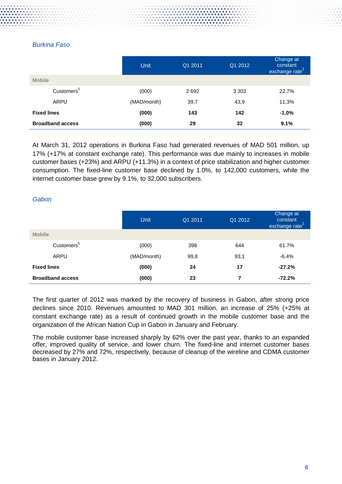# *Burkina Faso*

|                         | <b>Unit</b> | Q1 2011 | Q1 2012 | Change at<br>constant<br>exchange rate <sup>2</sup> |
|-------------------------|-------------|---------|---------|-----------------------------------------------------|
| <b>Mobile</b>           |             |         |         |                                                     |
| Customers <sup>5</sup>  | (000)       | 2692    | 3 3 0 3 | 22.7%                                               |
| ARPU                    | (MAD/month) | 39,7    | 43,9    | 11.3%                                               |
| <b>Fixed lines</b>      | (000)       | 143     | 142     | $-1.0%$                                             |
| <b>Broadband access</b> | (000)       | 29      | 32      | 9.1%                                                |

At March 31, 2012 operations in Burkina Faso had generated revenues of MAD 501 million, up 17% (+17% at constant exchange rate). This performance was due mainly to increases in mobile customer bases (+23%) and ARPU (+11.3%) in a context of price stabilization and higher customer consumption. The fixed-line customer base declined by 1.0%, to 142,000 customers, while the internet customer base grew by 9.1%, to 32,000 subscribers.

# *Gabon*

|                         | Unit        | Q1 2011 | Q1 2012 | Change at<br>constant<br>exchange rate <sup>2</sup> |
|-------------------------|-------------|---------|---------|-----------------------------------------------------|
| <b>Mobile</b>           |             |         |         |                                                     |
| Customers <sup>5</sup>  | (000)       | 398     | 644     | 61.7%                                               |
| ARPU                    | (MAD/month) | 99,8    | 93,1    | $-6.4%$                                             |
| <b>Fixed lines</b>      | (000)       | 24      | 17      | $-27.2%$                                            |
| <b>Broadband access</b> | (000)       | 23      | 7       | $-72.2%$                                            |

The first quarter of 2012 was marked by the recovery of business in Gabon, after strong price declines since 2010. Revenues amounted to MAD 301 million, an increase of 25% (+25% at constant exchange rate) as a result of continued growth in the mobile customer base and the organization of the African Nation Cup in Gabon in January and February.

The mobile customer base increased sharply by 62% over the past year, thanks to an expanded offer, improved quality of service, and lower churn. The fixed-line and internet customer bases decreased by 27% and 72%, respectively, because of cleanup of the wireline and CDMA customer bases in January 2012.